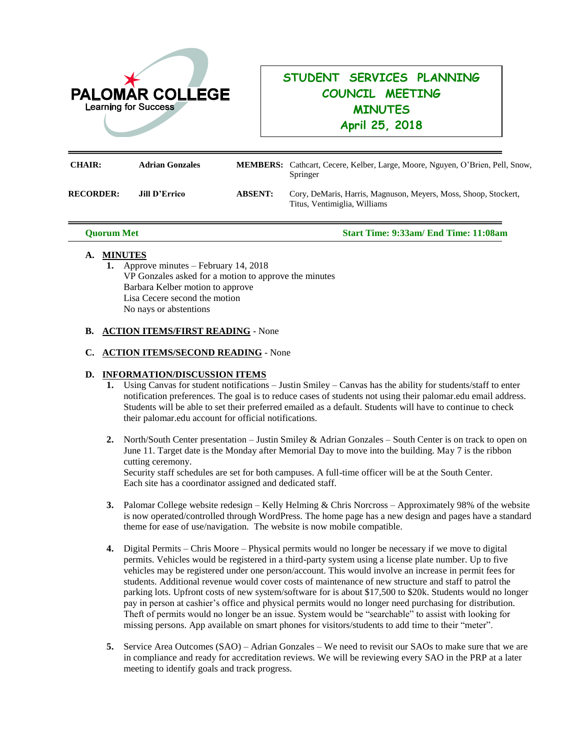

# **STUDENT SERVICES PLANNING COUNCIL MEETING MINUTES April 25, 2018**

| <b>CHAIR:</b>    | <b>Adrian Gonzales</b> |                | <b>MEMBERS:</b> Cathcart, Cecere, Kelber, Large, Moore, Nguyen, O'Brien, Pell, Snow,<br>Springer |
|------------------|------------------------|----------------|--------------------------------------------------------------------------------------------------|
| <b>RECORDER:</b> | <b>Jill D'Errico</b>   | <b>ABSENT:</b> | Cory, DeMaris, Harris, Magnuson, Meyers, Moss, Shoop, Stockert,<br>Titus, Ventimiglia, Williams  |

 **Quorum Met Start Time: 9:33am/ End Time: 11:08am**

## **A. MINUTES**

**1.** Approve minutes – February 14, 2018 VP Gonzales asked for a motion to approve the minutes Barbara Kelber motion to approve Lisa Cecere second the motion No nays or abstentions

## **B. ACTION ITEMS/FIRST READING** - None

#### **C. ACTION ITEMS/SECOND READING** - None

#### **D. INFORMATION/DISCUSSION ITEMS**

- **1.** Using Canvas for student notifications Justin Smiley Canvas has the ability for students/staff to enter notification preferences. The goal is to reduce cases of students not using their palomar.edu email address. Students will be able to set their preferred emailed as a default. Students will have to continue to check their palomar.edu account for official notifications.
- **2.** North/South Center presentation Justin Smiley & Adrian Gonzales South Center is on track to open on June 11. Target date is the Monday after Memorial Day to move into the building. May 7 is the ribbon cutting ceremony. Security staff schedules are set for both campuses. A full-time officer will be at the South Center. Each site has a coordinator assigned and dedicated staff.
- **3.** Palomar College website redesign Kelly Helming & Chris Norcross Approximately 98% of the website is now operated/controlled through WordPress. The home page has a new design and pages have a standard theme for ease of use/navigation. The website is now mobile compatible.
- **4.** Digital Permits Chris Moore Physical permits would no longer be necessary if we move to digital permits. Vehicles would be registered in a third-party system using a license plate number. Up to five vehicles may be registered under one person/account. This would involve an increase in permit fees for students. Additional revenue would cover costs of maintenance of new structure and staff to patrol the parking lots. Upfront costs of new system/software for is about \$17,500 to \$20k. Students would no longer pay in person at cashier's office and physical permits would no longer need purchasing for distribution. Theft of permits would no longer be an issue. System would be "searchable" to assist with looking for missing persons. App available on smart phones for visitors/students to add time to their "meter".
- **5.** Service Area Outcomes (SAO) Adrian Gonzales We need to revisit our SAOs to make sure that we are in compliance and ready for accreditation reviews. We will be reviewing every SAO in the PRP at a later meeting to identify goals and track progress.